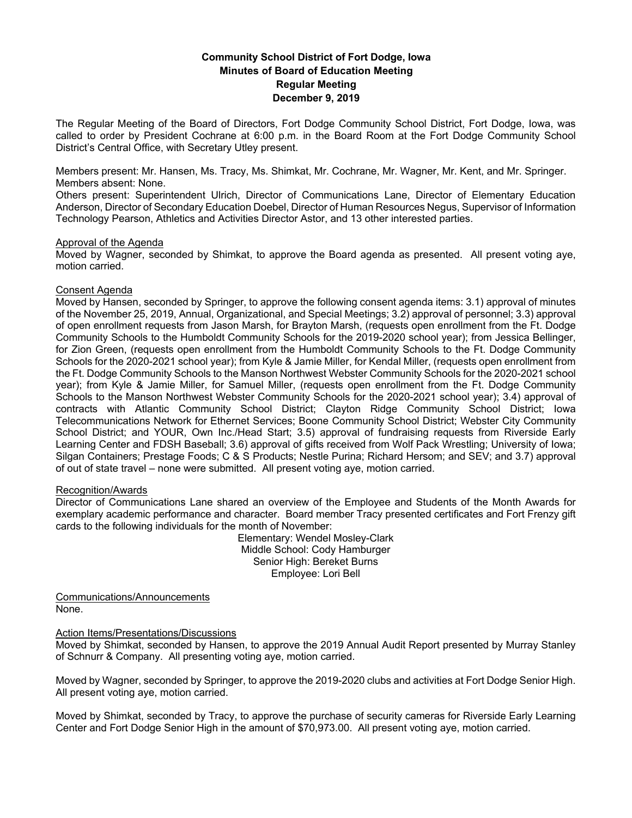# **Community School District of Fort Dodge, Iowa Minutes of Board of Education Meeting Regular Meeting December 9, 2019**

The Regular Meeting of the Board of Directors, Fort Dodge Community School District, Fort Dodge, Iowa, was called to order by President Cochrane at 6:00 p.m. in the Board Room at the Fort Dodge Community School District's Central Office, with Secretary Utley present.

Members present: Mr. Hansen, Ms. Tracy, Ms. Shimkat, Mr. Cochrane, Mr. Wagner, Mr. Kent, and Mr. Springer. Members absent: None.

Others present: Superintendent Ulrich, Director of Communications Lane, Director of Elementary Education Anderson, Director of Secondary Education Doebel, Director of Human Resources Negus, Supervisor of Information Technology Pearson, Athletics and Activities Director Astor, and 13 other interested parties.

### Approval of the Agenda

Moved by Wagner, seconded by Shimkat, to approve the Board agenda as presented. All present voting aye, motion carried.

## Consent Agenda

Moved by Hansen, seconded by Springer, to approve the following consent agenda items: 3.1) approval of minutes of the November 25, 2019, Annual, Organizational, and Special Meetings; 3.2) approval of personnel; 3.3) approval of open enrollment requests from Jason Marsh, for Brayton Marsh, (requests open enrollment from the Ft. Dodge Community Schools to the Humboldt Community Schools for the 2019-2020 school year); from Jessica Bellinger, for Zion Green, (requests open enrollment from the Humboldt Community Schools to the Ft. Dodge Community Schools for the 2020-2021 school year); from Kyle & Jamie Miller, for Kendal Miller, (requests open enrollment from the Ft. Dodge Community Schools to the Manson Northwest Webster Community Schools for the 2020-2021 school year); from Kyle & Jamie Miller, for Samuel Miller, (requests open enrollment from the Ft. Dodge Community Schools to the Manson Northwest Webster Community Schools for the 2020-2021 school year); 3.4) approval of contracts with Atlantic Community School District; Clayton Ridge Community School District; Iowa Telecommunications Network for Ethernet Services; Boone Community School District; Webster City Community School District; and YOUR, Own Inc./Head Start; 3.5) approval of fundraising requests from Riverside Early Learning Center and FDSH Baseball; 3.6) approval of gifts received from Wolf Pack Wrestling; University of Iowa; Silgan Containers; Prestage Foods; C & S Products; Nestle Purina; Richard Hersom; and SEV; and 3.7) approval of out of state travel – none were submitted. All present voting aye, motion carried.

#### Recognition/Awards

Director of Communications Lane shared an overview of the Employee and Students of the Month Awards for exemplary academic performance and character. Board member Tracy presented certificates and Fort Frenzy gift cards to the following individuals for the month of November:

> Elementary: Wendel Mosley-Clark Middle School: Cody Hamburger Senior High: Bereket Burns Employee: Lori Bell

Communications/Announcements None.

#### Action Items/Presentations/Discussions

Moved by Shimkat, seconded by Hansen, to approve the 2019 Annual Audit Report presented by Murray Stanley of Schnurr & Company. All presenting voting aye, motion carried.

Moved by Wagner, seconded by Springer, to approve the 2019-2020 clubs and activities at Fort Dodge Senior High. All present voting aye, motion carried.

Moved by Shimkat, seconded by Tracy, to approve the purchase of security cameras for Riverside Early Learning Center and Fort Dodge Senior High in the amount of \$70,973.00. All present voting aye, motion carried.